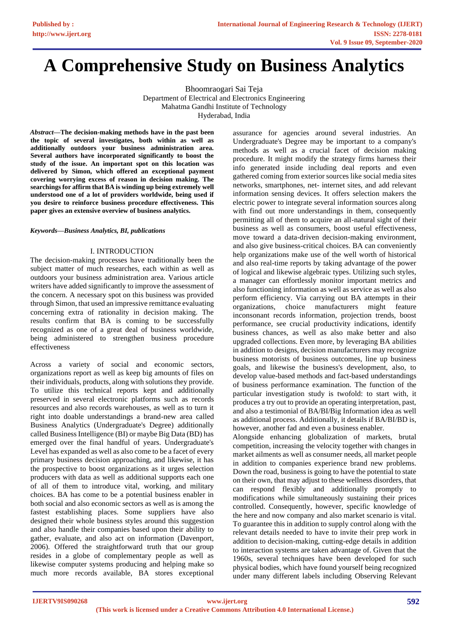# **A Comprehensive Study on Business Analytics**

Bhoomraogari Sai Teja Department of Electrical and Electronics Engineering Mahatma Gandhi Institute of Technology Hyderabad, India

*Abstract***—The decision-making methods have in the past been the topic of several investigates, both within as well as additionally outdoors your business administration area. Several authors have incorporated significantly to boost the study of the issue. An important spot on this location was delivered by Simon, which offered an exceptional payment covering worrying excess of reason in decision making. The searchings for affirm that BA is winding up being extremely well understood one of a lot of providers worldwide, being used if you desire to reinforce business procedure effectiveness. This paper gives an extensive overview of business analytics.**

#### *Keywords—Business Analytics, BI, publications*

## I. INTRODUCTION

The decision-making processes have traditionally been the subject matter of much researches, each within as well as outdoors your business administration area. Various article writers have added significantly to improve the assessment of the concern. A necessary spot on this business was provided through Simon, that used an impressive remittance evaluating concerning extra of rationality in decision making. The results confirm that BA is coming to be successfully recognized as one of a great deal of business worldwide, being administered to strengthen business procedure effectiveness

Across a variety of social and economic sectors, organizations report as well as keep big amounts of files on their individuals, products, along with solutions they provide. To utilize this technical reports kept and additionally preserved in several electronic platforms such as records resources and also records warehouses, as well as to turn it right into doable understandings a brand-new area called Business Analytics (Undergraduate's Degree) additionally called Business Intelligence (BI) or maybe Big Data (BD) has emerged over the final handful of years. Undergraduate's Level has expanded as well as also come to be a facet of every primary business decision approaching, and likewise, it has the prospective to boost organizations as it urges selection producers with data as well as additional supports each one of all of them to introduce vital, working, and military choices. BA has come to be a potential business enabler in both social and also economic sectors as well as is among the fastest establishing places. Some suppliers have also designed their whole business styles around this suggestion and also handle their companies based upon their ability to gather, evaluate, and also act on information (Davenport, 2006). Offered the straightforward truth that our group resides in a globe of complementary people as well as likewise computer systems producing and helping make so much more records available, BA stores exceptional

assurance for agencies around several industries. An Undergraduate's Degree may be important to a company's methods as well as a crucial facet of decision making procedure. It might modify the strategy firms harness their info generated inside including deal reports and even gathered coming from exterior sources like social media sites networks, smartphones, net- internet sites, and add relevant information sensing devices. It offers selection makers the electric power to integrate several information sources along with find out more understandings in them, consequently permitting all of them to acquire an all-natural sight of their business as well as consumers, boost useful effectiveness, move toward a data-driven decision-making environment, and also give business-critical choices. BA can conveniently help organizations make use of the well worth of historical and also real-time reports by taking advantage of the power of logical and likewise algebraic types. Utilizing such styles, a manager can effortlessly monitor important metrics and also functioning information as well as service as well as also perform efficiency. Via carrying out BA attempts in their organizations, choice manufacturers might feature inconsonant records information, projection trends, boost performance, see crucial productivity indications, identify business chances, as well as also make better and also upgraded collections. Even more, by leveraging BA abilities in addition to designs, decision manufacturers may recognize business motorists of business outcomes, line up business goals, and likewise the business's development, also, to develop value-based methods and fact-based understandings of business performance examination. The function of the particular investigation study is twofold: to start with, it produces a try out to provide an operating interpretation, past, and also a testimonial of BA/BI/Big Information idea as well as additional process. Additionally, it details if BA/BI/BD is, however, another fad and even a business enabler.

Alongside enhancing globalization of markets, brutal competition, increasing the velocity together with changes in market ailments as well as consumer needs, all market people in addition to companies experience brand new problems. Down the road, business is going to have the potential to state on their own, that may adjust to these wellness disorders, that can respond flexibly and additionally promptly to modifications while simultaneously sustaining their prices controlled. Consequently, however, specific knowledge of the here and now company and also market scenario is vital. To guarantee this in addition to supply control along with the relevant details needed to have to invite their prep work in addition to decision-making, cutting-edge details in addition to interaction systems are taken advantage of. Given that the 1960s, several techniques have been developed for such physical bodies, which have found yourself being recognized under many different labels including Observing Relevant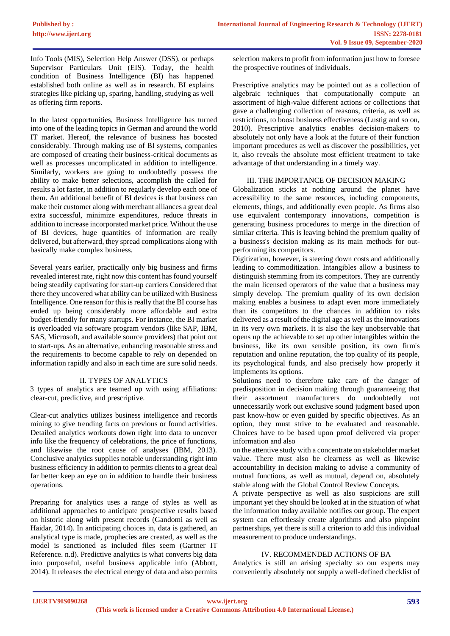Info Tools (MIS), Selection Help Answer (DSS), or perhaps Supervisor Particulars Unit (EIS). Today, the health condition of Business Intelligence (BI) has happened established both online as well as in research. BI explains strategies like picking up, sparing, handling, studying as well as offering firm reports.

In the latest opportunities, Business Intelligence has turned into one of the leading topics in German and around the world IT market. Hereof, the relevance of business has boosted considerably. Through making use of BI systems, companies are composed of creating their business-critical documents as well as processes uncomplicated in addition to intelligence. Similarly, workers are going to undoubtedly possess the ability to make better selections, accomplish the called for results a lot faster, in addition to regularly develop each one of them. An additional benefit of BI devices is that business can make their customer along with merchant alliances a great deal extra successful, minimize expenditures, reduce threats in addition to increase incorporated market price. Without the use of BI devices, huge quantities of information are really delivered, but afterward, they spread complications along with basically make complex business.

Several years earlier, practically only big business and firms revealed interest rate, right now this content has found yourself being steadily captivating for start-up carriers Considered that there they uncovered what ability can be utilized with Business Intelligence. One reason for this is really that the BI course has ended up being considerably more affordable and extra budget-friendly for many startups. For instance, the BI market is overloaded via software program vendors (like SAP, IBM, SAS, Microsoft, and available source providers) that point out to start-ups. As an alternative, enhancing reasonable stress and the requirements to become capable to rely on depended on information rapidly and also in each time are sure solid needs.

## II. TYPES OF ANALYTICS

3 types of analytics are teamed up with using affiliations: clear-cut, predictive, and prescriptive.

Clear-cut analytics utilizes business intelligence and records mining to give trending facts on previous or found activities. Detailed analytics workouts down right into data to uncover info like the frequency of celebrations, the price of functions, and likewise the root cause of analyses (IBM, 2013). Conclusive analytics supplies notable understanding right into business efficiency in addition to permits clients to a great deal far better keep an eye on in addition to handle their business operations.

Preparing for analytics uses a range of styles as well as additional approaches to anticipate prospective results based on historic along with present records (Gandomi as well as Haidar, 2014). In anticipating choices in, data is gathered, an analytical type is made, prophecies are created, as well as the model is sanctioned as included files seem (Gartner IT Reference. n.d). Predictive analytics is what converts big data into purposeful, useful business applicable info (Abbott, 2014). It releases the electrical energy of data and also permits

selection makers to profit from information just how to foresee the prospective routines of individuals.

Prescriptive analytics may be pointed out as a collection of algebraic techniques that computationally compute an assortment of high-value different actions or collections that gave a challenging collection of reasons, criteria, as well as restrictions, to boost business effectiveness (Lustig and so on, 2010). Prescriptive analytics enables decision-makers to absolutely not only have a look at the future of their function important procedures as well as discover the possibilities, yet it, also reveals the absolute most efficient treatment to take advantage of that understanding in a timely way.

## III. THE IMPORTANCE OF DECISION MAKING

Globalization sticks at nothing around the planet have accessibility to the same resources, including components, elements, things, and additionally even people. As firms also use equivalent contemporary innovations, competition is generating business procedures to merge in the direction of similar criteria. This is leaving behind the premium quality of a business's decision making as its main methods for outperforming its competitors.

Digitization, however, is steering down costs and additionally leading to commoditization. Intangibles allow a business to distinguish stemming from its competitors. They are currently the main licensed operators of the value that a business may simply develop. The premium quality of its own decision making enables a business to adapt even more immediately than its competitors to the chances in addition to risks delivered as a result of the digital age as well as the innovations in its very own markets. It is also the key unobservable that opens up the achievable to set up other intangibles within the business, like its own sensible position, its own firm's reputation and online reputation, the top quality of its people, its psychological funds, and also precisely how properly it implements its options.

Solutions need to therefore take care of the danger of predisposition in decision making through guaranteeing that their assortment manufacturers do undoubtedly not unnecessarily work out exclusive sound judgment based upon past know-how or even guided by specific objectives. As an option, they must strive to be evaluated and reasonable. Choices have to be based upon proof delivered via proper information and also

on the attentive study with a concentrate on stakeholder market value. There must also be clearness as well as likewise accountability in decision making to advise a community of mutual functions, as well as mutual, depend on, absolutely stable along with the Global Control Review Concepts.

A private perspective as well as also suspicions are still important yet they should be looked at in the situation of what the information today available notifies our group. The expert system can effortlessly create algorithms and also pinpoint partnerships, yet there is still a criterion to add this individual measurement to produce understandings.

## IV. RECOMMENDED ACTIONS OF BA

Analytics is still an arising specialty so our experts may conveniently absolutely not supply a well-defined checklist of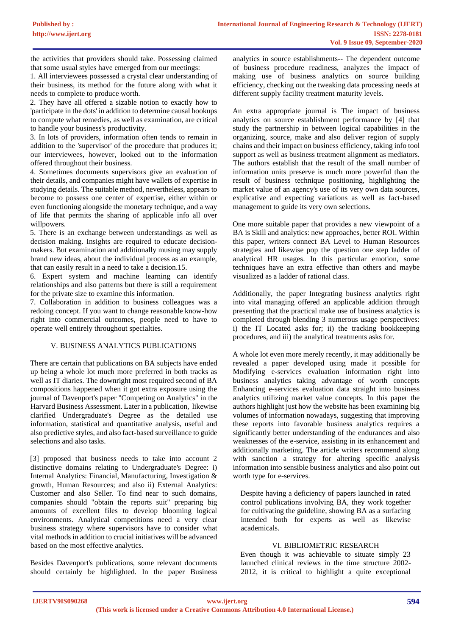the activities that providers should take. Possessing claimed that some usual styles have emerged from our meetings:

1. All interviewees possessed a crystal clear understanding of their business, its method for the future along with what it needs to complete to produce worth.

2. They have all offered a sizable notion to exactly how to 'participate in the dots' in addition to determine causal hookups to compute what remedies, as well as examination, are critical to handle your business's productivity.

3. In lots of providers, information often tends to remain in addition to the 'supervisor' of the procedure that produces it; our interviewees, however, looked out to the information offered throughout their business.

4. Sometimes documents supervisors give an evaluation of their details, and companies might have wallets of expertise in studying details. The suitable method, nevertheless, appears to become to possess one center of expertise, either within or even functioning alongside the monetary technique, and a way of life that permits the sharing of applicable info all over willpowers.

5. There is an exchange between understandings as well as decision making. Insights are required to educate decisionmakers. But examination and additionally musing may supply brand new ideas, about the individual process as an example, that can easily result in a need to take a decision.15.

6. Expert system and machine learning can identify relationships and also patterns but there is still a requirement for the private size to examine this information.

7. Collaboration in addition to business colleagues was a redoing concept. If you want to change reasonable know-how right into commercial outcomes, people need to have to operate well entirely throughout specialties.

## V. BUSINESS ANALYTICS PUBLICATIONS

There are certain that publications on BA subjects have ended up being a whole lot much more preferred in both tracks as well as IT diaries. The downright most required second of BA compositions happened when it got extra exposure using the journal of Davenport's paper "Competing on Analytics" in the Harvard Business Assessment. Later in a publication, likewise clarified Undergraduate's Degree as the detailed use information, statistical and quantitative analysis, useful and also predictive styles, and also fact-based surveillance to guide selections and also tasks.

[3] proposed that business needs to take into account 2 distinctive domains relating to Undergraduate's Degree: i) Internal Analytics: Financial, Manufacturing, Investigation & growth, Human Resources; and also ii) External Analytics: Customer and also Seller. To find near to such domains, companies should "obtain the reports suit" preparing big amounts of excellent files to develop blooming logical environments. Analytical competitions need a very clear business strategy where supervisors have to consider what vital methods in addition to crucial initiatives will be advanced based on the most effective analytics.

Besides Davenport's publications, some relevant documents should certainly be highlighted. In the paper Business

analytics in source establishments-- The dependent outcome of business procedure readiness, analyzes the impact of making use of business analytics on source building efficiency, checking out the tweaking data processing needs at different supply facility treatment maturity levels.

An extra appropriate journal is The impact of business analytics on source establishment performance by [4] that study the partnership in between logical capabilities in the organizing, source, make and also deliver region of supply chains and their impact on business efficiency, taking info tool support as well as business treatment alignment as mediators. The authors establish that the result of the small number of information units preserve is much more powerful than the result of business technique positioning, highlighting the market value of an agency's use of its very own data sources, explicative and expecting variations as well as fact-based management to guide its very own selections.

One more suitable paper that provides a new viewpoint of a BA is Skill and analytics: new approaches, better ROI. Within this paper, writers connect BA Level to Human Resources strategies and likewise pop the question one step ladder of analytical HR usages. In this particular emotion, some techniques have an extra effective than others and maybe visualized as a ladder of rational class.

Additionally, the paper Integrating business analytics right into vital managing offered an applicable addition through presenting that the practical make use of business analytics is completed through blending 3 numerous usage perspectives: i) the IT Located asks for; ii) the tracking bookkeeping procedures, and iii) the analytical treatments asks for.

A whole lot even more merely recently, it may additionally be revealed a paper developed using made it possible for Modifying e-services evaluation information right into business analytics taking advantage of worth concepts Enhancing e-services evaluation data straight into business analytics utilizing market value concepts. In this paper the authors highlight just how the website has been examining big volumes of information nowadays, suggesting that improving these reports into favorable business analytics requires a significantly better understanding of the endurances and also weaknesses of the e-service, assisting in its enhancement and additionally marketing. The article writers recommend along with sanction a strategy for altering specific analysis information into sensible business analytics and also point out worth type for e-services.

Despite having a deficiency of papers launched in rated control publications involving BA, they work together for cultivating the guideline, showing BA as a surfacing intended both for experts as well as likewise academicals.

#### VI. BIBLIOMETRIC RESEARCH

Even though it was achievable to situate simply 23 launched clinical reviews in the time structure 2002- 2012, it is critical to highlight a quite exceptional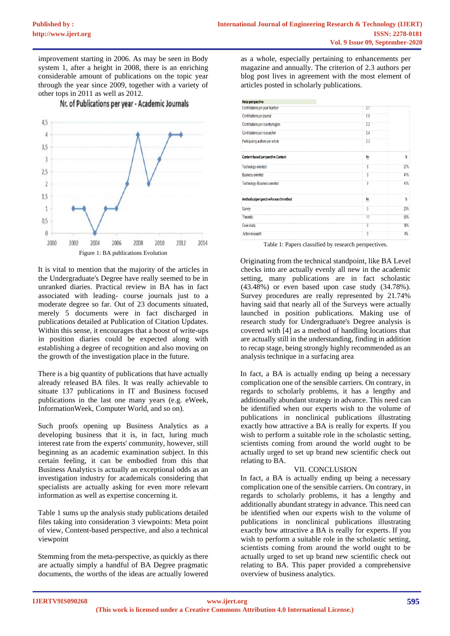improvement starting in 2006. As may be seen in Body system 1, after a height in 2008, there is an enriching considerable amount of publications on the topic year through the year since 2009, together with a variety of other tops in 2011 as well as 2012.

Nr. of Publications per year - Academic Journals



It is vital to mention that the majority of the articles in the Undergraduate's Degree have really seemed to be in unranked diaries. Practical review in BA has in fact associated with leading- course journals just to a moderate degree so far. Out of 23 documents situated, merely 5 documents were in fact discharged in publications detailed at Publication of Citation Updates. Within this sense, it encourages that a boost of write-ups in position diaries could be expected along with establishing a degree of recognition and also moving on the growth of the investigation place in the future.

There is a big quantity of publications that have actually already released BA files. It was really achievable to situate 137 publications in IT and Business focused publications in the last one many years (e.g. eWeek, InformationWeek, Computer World, and so on).

Such proofs opening up Business Analytics as a developing business that it is, in fact, luring much interest rate from the experts' community, however, still beginning as an academic examination subject. In this certain feeling, it can be embodied from this that Business Analytics is actually an exceptional odds as an investigation industry for academicals considering that specialists are actually asking for even more relevant information as well as expertise concerning it.

Table 1 sums up the analysis study publications detailed files taking into consideration 3 viewpoints: Meta point of view, Content-based perspective, and also a technical viewpoint

Stemming from the meta-perspective, as quickly as there are actually simply a handful of BA Degree pragmatic documents, the worths of the ideas are actually lowered

as a whole, especially pertaining to enhancements per magazine and annually. The criterion of 2.3 authors per blog post lives in agreement with the most element of articles posted in scholarly publications.

| Meta-perspective                         |                |     |
|------------------------------------------|----------------|-----|
| Contributions per year Number            | 2,1            |     |
| Contributions per journal                | 1.0            |     |
| Contributions per country/region         | 22             |     |
| Contributions per researcher             | 0.4            |     |
| Participating authors per article        | 2 <sub>3</sub> |     |
| <b>Content-based perspective Context</b> | Nr.            | X   |
| Technology oriented                      | 6              | 27% |
| <b>Business oriented</b>                 | 9              | 41% |
| Technology /Business oriented            | 9              | 41% |
| Methodicalperspective Researchmethod     | Nr.            | X   |
| Survey                                   | 5              | 23% |
| Theoretic:                               | 11             | 50% |
| Case study                               | 8              | 36% |
| <b>Action research</b>                   | $\mathbf{0}$   | 0%  |

Table 1: Papers classified by research perspectives.

Originating from the technical standpoint, like BA Level checks into are actually evenly all new in the academic setting, many publications are in fact scholastic (43.48%) or even based upon case study (34.78%). Survey procedures are really represented by 21.74% having said that nearly all of the Surveys were actually launched in position publications. Making use of research study for Undergraduate's Degree analysis is covered with [4] as a method of handling locations that are actually still in the understanding, finding in addition to recap stage, being strongly highly recommended as an analysis technique in a surfacing area

In fact, a BA is actually ending up being a necessary complication one of the sensible carriers. On contrary, in regards to scholarly problems, it has a lengthy and additionally abundant strategy in advance. This need can be identified when our experts wish to the volume of publications in nonclinical publications illustrating exactly how attractive a BA is really for experts. If you wish to perform a suitable role in the scholastic setting. scientists coming from around the world ought to be actually urged to set up brand new scientific check out relating to BA.

## VII. CONCLUSION

In fact, a BA is actually ending up being a necessary complication one of the sensible carriers. On contrary, in regards to scholarly problems, it has a lengthy and additionally abundant strategy in advance. This need can be identified when our experts wish to the volume of publications in nonclinical publications illustrating exactly how attractive a BA is really for experts. If you wish to perform a suitable role in the scholastic setting, scientists coming from around the world ought to be actually urged to set up brand new scientific check out relating to BA. This paper provided a comprehensive overview of business analytics.